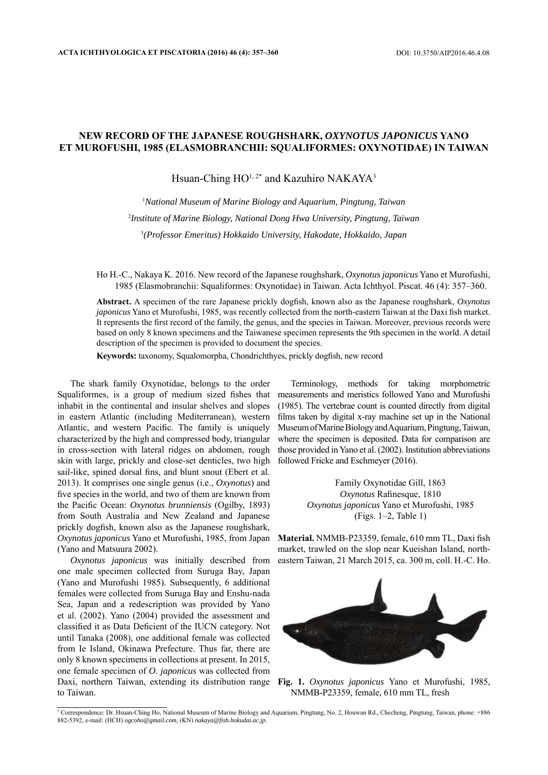## **NEW RECORD OF THE JAPANESE ROUGHSHARK,** *OXYNOTUS JAPONICUS* **YANO ET MUROFUSHI, 1985 (ELASMOBRANCHII: SQUALIFORMES: OXYNOTIDAE) IN TAIWAN**

## Hsuan-Ching HO<sup>1, 2\*</sup> and Kazuhiro NAKAYA<sup>3</sup>

1 *National Museum of Marine Biology and Aquarium, Pingtung, Taiwan* 2 *Institute of Marine Biology, National Dong Hwa University, Pingtung, Taiwan* 3 *(Professor Emeritus) Hokkaido University, Hakodate, Hokkaido, Japan*

Ho H.-C., Nakaya K. 2016. New record of the Japanese roughshark, *Oxynotus japonicus* Yano et Murofushi, 1985 (Elasmobranchii: Squaliformes: Oxynotidae) in Taiwan. Acta Ichthyol. Piscat. 46 (4): 357–360.

Abstract. A specimen of the rare Japanese prickly dogfish, known also as the Japanese roughshark, *Oxynotus japonicus* Yano et Murofushi, 1985, was recently collected from the north-eastern Taiwan at the Daxi fish market. It represents the first record of the family, the genus, and the species in Taiwan. Moreover, previous records were based on only 8 known specimens and the Taiwanese specimen represents the 9th specimen in the world. A detail description of the specimen is provided to document the species.

Keywords: taxonomy, Squalomorpha, Chondrichthyes, prickly dogfish, new record

The shark family Oxynotidae, belongs to the order Squaliformes, is a group of medium sized fishes that inhabit in the continental and insular shelves and slopes in eastern Atlantic (including Mediterranean), western Atlantic, and western Pacific. The family is uniquely characterized by the high and compressed body, triangular in cross-section with lateral ridges on abdomen, rough skin with large, prickly and close-set denticles, two high sail-like, spined dorsal fins, and blunt snout (Ebert et al. 2013). It comprises one single genus (i.e., *Oxynotus*) and five species in the world, and two of them are known from the Pacific Ocean: *Oxynotus brunniensis* (Ogilby, 1893) from South Australia and New Zealand and Japanese prickly dogfish, known also as the Japanese roughshark, *Oxynotus japonicus* Yano et Murofushi, 1985, from Japan (Yano and Matsuura 2002).

*Oxynotus japonicus* was initially described from one male specimen collected from Suruga Bay, Japan (Yano and Murofushi 1985). Subsequently, 6 additional females were collected from Suruga Bay and Enshu-nada Sea, Japan and a redescription was provided by Yano et al. (2002). Yano (2004) provided the assessment and classified it as Data Deficient of the IUCN category. Not until Tanaka (2008), one additional female was collected from Ie Island, Okinawa Prefecture. Thus far, there are only 8 known specimens in collections at present. In 2015, one female specimen of *O. japonicus* was collected from Daxi, northern Taiwan, extending its distribution range to Taiwan.

Terminology, methods for taking morphometric measurements and meristics followed Yano and Murofushi (1985). The vertebrae count is counted directly from digital films taken by digital x-ray machine set up in the National Museum of Marine Biology and Aquarium, Pingtung, Taiwan, where the specimen is deposited. Data for comparison are those provided in Yano et al. (2002). Institution abbreviations followed Fricke and Eschmeyer (2016).

> Family Oxynotidae Gill, 1863 *Oxynotus Rafinesque, 1810 Oxynotus japonicus* Yano et Murofushi, 1985 (Figs. 1–2, Table 1)

Material. NMMB-P23359, female, 610 mm TL, Daxi fish market, trawled on the slop near Kueishan Island, northeastern Taiwan, 21 March 2015, ca. 300 m, coll. H.-C. Ho.



**Fig. 1.** *Oxynotus japonicus* Yano et Murofushi, 1985, NMMB-P23359, female, 610 mm TL, fresh

<sup>\*</sup> Correspondence: Dr. Hsuan-Ching Ho, National Museum of Marine Biology and Aquarium, Pingtung, No. 2, Houwan Rd., Checheng, Pingtung, Taiwan, phone: +886 882-5392, e-mail: (HCH) *ogcoho@gmail.com*, (KN) *nakaya@fish.hokudai.ac.jp*.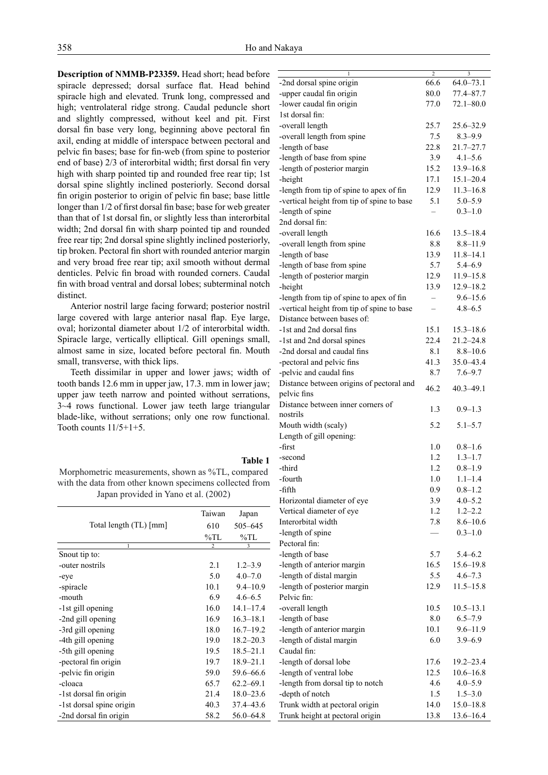**Description of NMMB-P23359.** Head short; head before spiracle depressed; dorsal surface flat. Head behind spiracle high and elevated. Trunk long, compressed and high; ventrolateral ridge strong. Caudal peduncle short and slightly compressed, without keel and pit. First dorsal fin base very long, beginning above pectoral fin axil, ending at middle of interspace between pectoral and pelvic fin bases; base for fin-web (from spine to posterior end of base) 2/3 of interorbital width; first dorsal fin very high with sharp pointed tip and rounded free rear tip; 1st dorsal spine slightly inclined posteriorly. Second dorsal fin origin posterior to origin of pelvic fin base; base little longer than 1/2 of first dorsal fin base; base for web greater than that of 1st dorsal fin, or slightly less than interorbital width; 2nd dorsal fin with sharp pointed tip and rounded free rear tip; 2nd dorsal spine slightly inclined posteriorly, tip broken. Pectoral fin short with rounded anterior margin and very broad free rear tip; axil smooth without dermal denticles. Pelvic fin broad with rounded corners. Caudal fin with broad ventral and dorsal lobes; subterminal notch distinct.

Anterior nostril large facing forward; posterior nostril large covered with large anterior nasal flap. Eye large, oval; horizontal diameter about 1/2 of interorbital width. Spiracle large, vertically elliptical. Gill openings small, almost same in size, located before pectoral fin. Mouth small, transverse, with thick lips.

Teeth dissimilar in upper and lower jaws; width of tooth bands 12.6 mm in upper jaw, 17.3. mm in lower jaw; upper jaw teeth narrow and pointed without serrations, 3~4 rows functional. Lower jaw teeth large triangular blade-like, without serrations; only one row functional. Tooth counts  $11/5+1+5$ .

**Table 1** Morphometric measurements, shown as %TL, compared with the data from other known specimens collected from Japan provided in Yano et al. (2002)

|                               | Taiwan         | Japan         |
|-------------------------------|----------------|---------------|
| Total length (TL) [mm]        | 610            | 505-645       |
|                               | $\%$ TL        | %TL           |
| 1                             | $\overline{2}$ | 3             |
| Snout tip to:                 |                |               |
| -outer nostrils               | 2.1            | $1.2 - 3.9$   |
| -eye                          | 5.0            | $4.0 - 7.0$   |
| -spiracle                     | 10.1           | $9.4 - 10.9$  |
| -mouth                        | 6.9            | $4.6 - 6.5$   |
| -1st gill opening             | 16.0           | $14.1 - 17.4$ |
| -2nd gill opening             | 16.9           | $16.3 - 18.1$ |
| -3rd gill opening             | 18.0           | $16.7 - 19.2$ |
| -4th gill opening             | 19.0           | $18.2 - 20.3$ |
| -5 <sup>th</sup> gill opening | 19.5           | $18.5 - 21.1$ |
| -pectoral fin origin          | 19.7           | $18.9 - 21.1$ |
| -pelvic fin origin            | 59.0           | 59.6–66.6     |
| -cloaca                       | 65.7           | $62.2 - 69.1$ |
| -1st dorsal fin origin        | 21.4           | $18.0 - 23.6$ |
| -1st dorsal spine origin      | 40.3           | 37.4–43.6     |
| -2nd dorsal fin origin        | 58.2           | $56.0 - 64.8$ |

| 66.6<br>$64.0 - 73.1$<br>-2nd dorsal spine origin<br>80.0<br>77.4-87.7<br>-upper caudal fin origin<br>-lower caudal fin origin<br>77.0<br>$72.1 - 80.0$<br>1st dorsal fin:<br>-overall length<br>25.7<br>25.6-32.9<br>7.5<br>-overall length from spine<br>$8.3 - 9.9$<br>-length of base<br>22.8<br>$21.7 - 27.7$<br>$4.1 - 5.6$<br>-length of base from spine<br>3.9<br>-length of posterior margin<br>15.2<br>$13.9 - 16.8$<br>-height<br>$15.1 - 20.4$<br>17.1<br>12.9<br>$11.3 - 16.8$<br>-length from tip of spine to apex of fin<br>-vertical height from tip of spine to base<br>5.1<br>$5.0 - 5.9$<br>$0.3 - 1.0$<br>-length of spine<br>2nd dorsal fin:<br>-overall length<br>16.6<br>$13.5 - 18.4$<br>-overall length from spine<br>8.8<br>$8.8 - 11.9$<br>$11.8 - 14.1$<br>-length of base<br>13.9<br>-length of base from spine<br>5.7<br>$5.4 - 6.9$<br>-length of posterior margin<br>12.9<br>$11.9 - 15.8$<br>$12.9 - 18.2$<br>-height<br>13.9<br>$9.6 - 15.6$<br>-length from tip of spine to apex of fin<br>-vertical height from tip of spine to base<br>$4.8 - 6.5$<br>Distance between bases of:<br>-1st and 2nd dorsal fins<br>15.1<br>$15.3 - 18.6$<br>22.4<br>$21.2 - 24.8$<br>-1st and 2nd dorsal spines<br>-2nd dorsal and caudal fins<br>8.1<br>$8.8 - 10.6$<br>-pectoral and pelvic fins<br>41.3<br>35.0-43.4<br>-pelvic and caudal fins<br>8.7<br>$7.6 - 9.7$<br>Distance between origins of pectoral and<br>46.2<br>$40.3 - 49.1$<br>pelvic fins<br>Distance between inner corners of<br>1.3<br>$0.9 - 1.3$<br>nostrils<br>5.2<br>$5.1 - 5.7$<br>Mouth width (scaly)<br>Length of gill opening:<br>-first<br>1.0<br>$0.8 - 1.6$<br>1.2<br>$1.3 - 1.7$<br>-second<br>1.2<br>$0.8 - 1.9$<br>-third<br>-fourth<br>1.0<br>$1.1 - 1.4$<br>-fifth<br>$0.8 - 1.2$<br>0.9<br>$4.0 - 5.2$<br>Horizontal diameter of eye<br>3.9<br>$1.2 - 2.2$<br>Vertical diameter of eye<br>1.2<br>Interorbital width<br>$8.6 - 10.6$<br>7.8<br>-length of spine<br>$0.3 - 1.0$<br>Pectoral fin:<br>5.7<br>-length of base<br>$5.4 - 6.2$<br>-length of anterior margin<br>16.5<br>$15.6 - 19.8$<br>-length of distal margin<br>5.5<br>$4.6 - 7.3$<br>-length of posterior margin<br>$11.5 - 15.8$<br>12.9<br>Pelvic fin:<br>-overall length<br>10.5<br>$10.5 - 13.1$<br>-length of base<br>8.0<br>$6.5 - 7.9$<br>-length of anterior margin<br>10.1<br>$9.6 - 11.9$<br>-length of distal margin<br>6.0<br>$3.9 - 6.9$<br>Caudal fin:<br>-length of dorsal lobe<br>17.6<br>$19.2 - 23.4$<br>-length of ventral lobe<br>12.5<br>$10.6 - 16.8$<br>-length from dorsal tip to notch<br>$4.0 - 5.9$<br>4.6<br>-depth of notch<br>1.5<br>$1.5 - 3.0$<br>Trunk width at pectoral origin<br>14.0<br>$15.0 - 18.8$<br>$13.6 - 16.4$<br>Trunk height at pectoral origin<br>13.8 |                |   |
|------------------------------------------------------------------------------------------------------------------------------------------------------------------------------------------------------------------------------------------------------------------------------------------------------------------------------------------------------------------------------------------------------------------------------------------------------------------------------------------------------------------------------------------------------------------------------------------------------------------------------------------------------------------------------------------------------------------------------------------------------------------------------------------------------------------------------------------------------------------------------------------------------------------------------------------------------------------------------------------------------------------------------------------------------------------------------------------------------------------------------------------------------------------------------------------------------------------------------------------------------------------------------------------------------------------------------------------------------------------------------------------------------------------------------------------------------------------------------------------------------------------------------------------------------------------------------------------------------------------------------------------------------------------------------------------------------------------------------------------------------------------------------------------------------------------------------------------------------------------------------------------------------------------------------------------------------------------------------------------------------------------------------------------------------------------------------------------------------------------------------------------------------------------------------------------------------------------------------------------------------------------------------------------------------------------------------------------------------------------------------------------------------------------------------------------------------------------------------------------------------------------------------------------------------------------------------------------------------------------------------------------------------------------------------------------------------------------------------------------------------------------------------|----------------|---|
|                                                                                                                                                                                                                                                                                                                                                                                                                                                                                                                                                                                                                                                                                                                                                                                                                                                                                                                                                                                                                                                                                                                                                                                                                                                                                                                                                                                                                                                                                                                                                                                                                                                                                                                                                                                                                                                                                                                                                                                                                                                                                                                                                                                                                                                                                                                                                                                                                                                                                                                                                                                                                                                                                                                                                                              | $\overline{c}$ | 3 |
|                                                                                                                                                                                                                                                                                                                                                                                                                                                                                                                                                                                                                                                                                                                                                                                                                                                                                                                                                                                                                                                                                                                                                                                                                                                                                                                                                                                                                                                                                                                                                                                                                                                                                                                                                                                                                                                                                                                                                                                                                                                                                                                                                                                                                                                                                                                                                                                                                                                                                                                                                                                                                                                                                                                                                                              |                |   |
|                                                                                                                                                                                                                                                                                                                                                                                                                                                                                                                                                                                                                                                                                                                                                                                                                                                                                                                                                                                                                                                                                                                                                                                                                                                                                                                                                                                                                                                                                                                                                                                                                                                                                                                                                                                                                                                                                                                                                                                                                                                                                                                                                                                                                                                                                                                                                                                                                                                                                                                                                                                                                                                                                                                                                                              |                |   |
|                                                                                                                                                                                                                                                                                                                                                                                                                                                                                                                                                                                                                                                                                                                                                                                                                                                                                                                                                                                                                                                                                                                                                                                                                                                                                                                                                                                                                                                                                                                                                                                                                                                                                                                                                                                                                                                                                                                                                                                                                                                                                                                                                                                                                                                                                                                                                                                                                                                                                                                                                                                                                                                                                                                                                                              |                |   |
|                                                                                                                                                                                                                                                                                                                                                                                                                                                                                                                                                                                                                                                                                                                                                                                                                                                                                                                                                                                                                                                                                                                                                                                                                                                                                                                                                                                                                                                                                                                                                                                                                                                                                                                                                                                                                                                                                                                                                                                                                                                                                                                                                                                                                                                                                                                                                                                                                                                                                                                                                                                                                                                                                                                                                                              |                |   |
|                                                                                                                                                                                                                                                                                                                                                                                                                                                                                                                                                                                                                                                                                                                                                                                                                                                                                                                                                                                                                                                                                                                                                                                                                                                                                                                                                                                                                                                                                                                                                                                                                                                                                                                                                                                                                                                                                                                                                                                                                                                                                                                                                                                                                                                                                                                                                                                                                                                                                                                                                                                                                                                                                                                                                                              |                |   |
|                                                                                                                                                                                                                                                                                                                                                                                                                                                                                                                                                                                                                                                                                                                                                                                                                                                                                                                                                                                                                                                                                                                                                                                                                                                                                                                                                                                                                                                                                                                                                                                                                                                                                                                                                                                                                                                                                                                                                                                                                                                                                                                                                                                                                                                                                                                                                                                                                                                                                                                                                                                                                                                                                                                                                                              |                |   |
|                                                                                                                                                                                                                                                                                                                                                                                                                                                                                                                                                                                                                                                                                                                                                                                                                                                                                                                                                                                                                                                                                                                                                                                                                                                                                                                                                                                                                                                                                                                                                                                                                                                                                                                                                                                                                                                                                                                                                                                                                                                                                                                                                                                                                                                                                                                                                                                                                                                                                                                                                                                                                                                                                                                                                                              |                |   |
|                                                                                                                                                                                                                                                                                                                                                                                                                                                                                                                                                                                                                                                                                                                                                                                                                                                                                                                                                                                                                                                                                                                                                                                                                                                                                                                                                                                                                                                                                                                                                                                                                                                                                                                                                                                                                                                                                                                                                                                                                                                                                                                                                                                                                                                                                                                                                                                                                                                                                                                                                                                                                                                                                                                                                                              |                |   |
|                                                                                                                                                                                                                                                                                                                                                                                                                                                                                                                                                                                                                                                                                                                                                                                                                                                                                                                                                                                                                                                                                                                                                                                                                                                                                                                                                                                                                                                                                                                                                                                                                                                                                                                                                                                                                                                                                                                                                                                                                                                                                                                                                                                                                                                                                                                                                                                                                                                                                                                                                                                                                                                                                                                                                                              |                |   |
|                                                                                                                                                                                                                                                                                                                                                                                                                                                                                                                                                                                                                                                                                                                                                                                                                                                                                                                                                                                                                                                                                                                                                                                                                                                                                                                                                                                                                                                                                                                                                                                                                                                                                                                                                                                                                                                                                                                                                                                                                                                                                                                                                                                                                                                                                                                                                                                                                                                                                                                                                                                                                                                                                                                                                                              |                |   |
|                                                                                                                                                                                                                                                                                                                                                                                                                                                                                                                                                                                                                                                                                                                                                                                                                                                                                                                                                                                                                                                                                                                                                                                                                                                                                                                                                                                                                                                                                                                                                                                                                                                                                                                                                                                                                                                                                                                                                                                                                                                                                                                                                                                                                                                                                                                                                                                                                                                                                                                                                                                                                                                                                                                                                                              |                |   |
|                                                                                                                                                                                                                                                                                                                                                                                                                                                                                                                                                                                                                                                                                                                                                                                                                                                                                                                                                                                                                                                                                                                                                                                                                                                                                                                                                                                                                                                                                                                                                                                                                                                                                                                                                                                                                                                                                                                                                                                                                                                                                                                                                                                                                                                                                                                                                                                                                                                                                                                                                                                                                                                                                                                                                                              |                |   |
|                                                                                                                                                                                                                                                                                                                                                                                                                                                                                                                                                                                                                                                                                                                                                                                                                                                                                                                                                                                                                                                                                                                                                                                                                                                                                                                                                                                                                                                                                                                                                                                                                                                                                                                                                                                                                                                                                                                                                                                                                                                                                                                                                                                                                                                                                                                                                                                                                                                                                                                                                                                                                                                                                                                                                                              |                |   |
|                                                                                                                                                                                                                                                                                                                                                                                                                                                                                                                                                                                                                                                                                                                                                                                                                                                                                                                                                                                                                                                                                                                                                                                                                                                                                                                                                                                                                                                                                                                                                                                                                                                                                                                                                                                                                                                                                                                                                                                                                                                                                                                                                                                                                                                                                                                                                                                                                                                                                                                                                                                                                                                                                                                                                                              |                |   |
|                                                                                                                                                                                                                                                                                                                                                                                                                                                                                                                                                                                                                                                                                                                                                                                                                                                                                                                                                                                                                                                                                                                                                                                                                                                                                                                                                                                                                                                                                                                                                                                                                                                                                                                                                                                                                                                                                                                                                                                                                                                                                                                                                                                                                                                                                                                                                                                                                                                                                                                                                                                                                                                                                                                                                                              |                |   |
|                                                                                                                                                                                                                                                                                                                                                                                                                                                                                                                                                                                                                                                                                                                                                                                                                                                                                                                                                                                                                                                                                                                                                                                                                                                                                                                                                                                                                                                                                                                                                                                                                                                                                                                                                                                                                                                                                                                                                                                                                                                                                                                                                                                                                                                                                                                                                                                                                                                                                                                                                                                                                                                                                                                                                                              |                |   |
|                                                                                                                                                                                                                                                                                                                                                                                                                                                                                                                                                                                                                                                                                                                                                                                                                                                                                                                                                                                                                                                                                                                                                                                                                                                                                                                                                                                                                                                                                                                                                                                                                                                                                                                                                                                                                                                                                                                                                                                                                                                                                                                                                                                                                                                                                                                                                                                                                                                                                                                                                                                                                                                                                                                                                                              |                |   |
|                                                                                                                                                                                                                                                                                                                                                                                                                                                                                                                                                                                                                                                                                                                                                                                                                                                                                                                                                                                                                                                                                                                                                                                                                                                                                                                                                                                                                                                                                                                                                                                                                                                                                                                                                                                                                                                                                                                                                                                                                                                                                                                                                                                                                                                                                                                                                                                                                                                                                                                                                                                                                                                                                                                                                                              |                |   |
|                                                                                                                                                                                                                                                                                                                                                                                                                                                                                                                                                                                                                                                                                                                                                                                                                                                                                                                                                                                                                                                                                                                                                                                                                                                                                                                                                                                                                                                                                                                                                                                                                                                                                                                                                                                                                                                                                                                                                                                                                                                                                                                                                                                                                                                                                                                                                                                                                                                                                                                                                                                                                                                                                                                                                                              |                |   |
|                                                                                                                                                                                                                                                                                                                                                                                                                                                                                                                                                                                                                                                                                                                                                                                                                                                                                                                                                                                                                                                                                                                                                                                                                                                                                                                                                                                                                                                                                                                                                                                                                                                                                                                                                                                                                                                                                                                                                                                                                                                                                                                                                                                                                                                                                                                                                                                                                                                                                                                                                                                                                                                                                                                                                                              |                |   |
|                                                                                                                                                                                                                                                                                                                                                                                                                                                                                                                                                                                                                                                                                                                                                                                                                                                                                                                                                                                                                                                                                                                                                                                                                                                                                                                                                                                                                                                                                                                                                                                                                                                                                                                                                                                                                                                                                                                                                                                                                                                                                                                                                                                                                                                                                                                                                                                                                                                                                                                                                                                                                                                                                                                                                                              |                |   |
|                                                                                                                                                                                                                                                                                                                                                                                                                                                                                                                                                                                                                                                                                                                                                                                                                                                                                                                                                                                                                                                                                                                                                                                                                                                                                                                                                                                                                                                                                                                                                                                                                                                                                                                                                                                                                                                                                                                                                                                                                                                                                                                                                                                                                                                                                                                                                                                                                                                                                                                                                                                                                                                                                                                                                                              |                |   |
|                                                                                                                                                                                                                                                                                                                                                                                                                                                                                                                                                                                                                                                                                                                                                                                                                                                                                                                                                                                                                                                                                                                                                                                                                                                                                                                                                                                                                                                                                                                                                                                                                                                                                                                                                                                                                                                                                                                                                                                                                                                                                                                                                                                                                                                                                                                                                                                                                                                                                                                                                                                                                                                                                                                                                                              |                |   |
|                                                                                                                                                                                                                                                                                                                                                                                                                                                                                                                                                                                                                                                                                                                                                                                                                                                                                                                                                                                                                                                                                                                                                                                                                                                                                                                                                                                                                                                                                                                                                                                                                                                                                                                                                                                                                                                                                                                                                                                                                                                                                                                                                                                                                                                                                                                                                                                                                                                                                                                                                                                                                                                                                                                                                                              |                |   |
|                                                                                                                                                                                                                                                                                                                                                                                                                                                                                                                                                                                                                                                                                                                                                                                                                                                                                                                                                                                                                                                                                                                                                                                                                                                                                                                                                                                                                                                                                                                                                                                                                                                                                                                                                                                                                                                                                                                                                                                                                                                                                                                                                                                                                                                                                                                                                                                                                                                                                                                                                                                                                                                                                                                                                                              |                |   |
|                                                                                                                                                                                                                                                                                                                                                                                                                                                                                                                                                                                                                                                                                                                                                                                                                                                                                                                                                                                                                                                                                                                                                                                                                                                                                                                                                                                                                                                                                                                                                                                                                                                                                                                                                                                                                                                                                                                                                                                                                                                                                                                                                                                                                                                                                                                                                                                                                                                                                                                                                                                                                                                                                                                                                                              |                |   |
|                                                                                                                                                                                                                                                                                                                                                                                                                                                                                                                                                                                                                                                                                                                                                                                                                                                                                                                                                                                                                                                                                                                                                                                                                                                                                                                                                                                                                                                                                                                                                                                                                                                                                                                                                                                                                                                                                                                                                                                                                                                                                                                                                                                                                                                                                                                                                                                                                                                                                                                                                                                                                                                                                                                                                                              |                |   |
|                                                                                                                                                                                                                                                                                                                                                                                                                                                                                                                                                                                                                                                                                                                                                                                                                                                                                                                                                                                                                                                                                                                                                                                                                                                                                                                                                                                                                                                                                                                                                                                                                                                                                                                                                                                                                                                                                                                                                                                                                                                                                                                                                                                                                                                                                                                                                                                                                                                                                                                                                                                                                                                                                                                                                                              |                |   |
|                                                                                                                                                                                                                                                                                                                                                                                                                                                                                                                                                                                                                                                                                                                                                                                                                                                                                                                                                                                                                                                                                                                                                                                                                                                                                                                                                                                                                                                                                                                                                                                                                                                                                                                                                                                                                                                                                                                                                                                                                                                                                                                                                                                                                                                                                                                                                                                                                                                                                                                                                                                                                                                                                                                                                                              |                |   |
|                                                                                                                                                                                                                                                                                                                                                                                                                                                                                                                                                                                                                                                                                                                                                                                                                                                                                                                                                                                                                                                                                                                                                                                                                                                                                                                                                                                                                                                                                                                                                                                                                                                                                                                                                                                                                                                                                                                                                                                                                                                                                                                                                                                                                                                                                                                                                                                                                                                                                                                                                                                                                                                                                                                                                                              |                |   |
|                                                                                                                                                                                                                                                                                                                                                                                                                                                                                                                                                                                                                                                                                                                                                                                                                                                                                                                                                                                                                                                                                                                                                                                                                                                                                                                                                                                                                                                                                                                                                                                                                                                                                                                                                                                                                                                                                                                                                                                                                                                                                                                                                                                                                                                                                                                                                                                                                                                                                                                                                                                                                                                                                                                                                                              |                |   |
|                                                                                                                                                                                                                                                                                                                                                                                                                                                                                                                                                                                                                                                                                                                                                                                                                                                                                                                                                                                                                                                                                                                                                                                                                                                                                                                                                                                                                                                                                                                                                                                                                                                                                                                                                                                                                                                                                                                                                                                                                                                                                                                                                                                                                                                                                                                                                                                                                                                                                                                                                                                                                                                                                                                                                                              |                |   |
|                                                                                                                                                                                                                                                                                                                                                                                                                                                                                                                                                                                                                                                                                                                                                                                                                                                                                                                                                                                                                                                                                                                                                                                                                                                                                                                                                                                                                                                                                                                                                                                                                                                                                                                                                                                                                                                                                                                                                                                                                                                                                                                                                                                                                                                                                                                                                                                                                                                                                                                                                                                                                                                                                                                                                                              |                |   |
|                                                                                                                                                                                                                                                                                                                                                                                                                                                                                                                                                                                                                                                                                                                                                                                                                                                                                                                                                                                                                                                                                                                                                                                                                                                                                                                                                                                                                                                                                                                                                                                                                                                                                                                                                                                                                                                                                                                                                                                                                                                                                                                                                                                                                                                                                                                                                                                                                                                                                                                                                                                                                                                                                                                                                                              |                |   |
|                                                                                                                                                                                                                                                                                                                                                                                                                                                                                                                                                                                                                                                                                                                                                                                                                                                                                                                                                                                                                                                                                                                                                                                                                                                                                                                                                                                                                                                                                                                                                                                                                                                                                                                                                                                                                                                                                                                                                                                                                                                                                                                                                                                                                                                                                                                                                                                                                                                                                                                                                                                                                                                                                                                                                                              |                |   |
|                                                                                                                                                                                                                                                                                                                                                                                                                                                                                                                                                                                                                                                                                                                                                                                                                                                                                                                                                                                                                                                                                                                                                                                                                                                                                                                                                                                                                                                                                                                                                                                                                                                                                                                                                                                                                                                                                                                                                                                                                                                                                                                                                                                                                                                                                                                                                                                                                                                                                                                                                                                                                                                                                                                                                                              |                |   |
|                                                                                                                                                                                                                                                                                                                                                                                                                                                                                                                                                                                                                                                                                                                                                                                                                                                                                                                                                                                                                                                                                                                                                                                                                                                                                                                                                                                                                                                                                                                                                                                                                                                                                                                                                                                                                                                                                                                                                                                                                                                                                                                                                                                                                                                                                                                                                                                                                                                                                                                                                                                                                                                                                                                                                                              |                |   |
|                                                                                                                                                                                                                                                                                                                                                                                                                                                                                                                                                                                                                                                                                                                                                                                                                                                                                                                                                                                                                                                                                                                                                                                                                                                                                                                                                                                                                                                                                                                                                                                                                                                                                                                                                                                                                                                                                                                                                                                                                                                                                                                                                                                                                                                                                                                                                                                                                                                                                                                                                                                                                                                                                                                                                                              |                |   |
|                                                                                                                                                                                                                                                                                                                                                                                                                                                                                                                                                                                                                                                                                                                                                                                                                                                                                                                                                                                                                                                                                                                                                                                                                                                                                                                                                                                                                                                                                                                                                                                                                                                                                                                                                                                                                                                                                                                                                                                                                                                                                                                                                                                                                                                                                                                                                                                                                                                                                                                                                                                                                                                                                                                                                                              |                |   |
|                                                                                                                                                                                                                                                                                                                                                                                                                                                                                                                                                                                                                                                                                                                                                                                                                                                                                                                                                                                                                                                                                                                                                                                                                                                                                                                                                                                                                                                                                                                                                                                                                                                                                                                                                                                                                                                                                                                                                                                                                                                                                                                                                                                                                                                                                                                                                                                                                                                                                                                                                                                                                                                                                                                                                                              |                |   |
|                                                                                                                                                                                                                                                                                                                                                                                                                                                                                                                                                                                                                                                                                                                                                                                                                                                                                                                                                                                                                                                                                                                                                                                                                                                                                                                                                                                                                                                                                                                                                                                                                                                                                                                                                                                                                                                                                                                                                                                                                                                                                                                                                                                                                                                                                                                                                                                                                                                                                                                                                                                                                                                                                                                                                                              |                |   |
|                                                                                                                                                                                                                                                                                                                                                                                                                                                                                                                                                                                                                                                                                                                                                                                                                                                                                                                                                                                                                                                                                                                                                                                                                                                                                                                                                                                                                                                                                                                                                                                                                                                                                                                                                                                                                                                                                                                                                                                                                                                                                                                                                                                                                                                                                                                                                                                                                                                                                                                                                                                                                                                                                                                                                                              |                |   |
|                                                                                                                                                                                                                                                                                                                                                                                                                                                                                                                                                                                                                                                                                                                                                                                                                                                                                                                                                                                                                                                                                                                                                                                                                                                                                                                                                                                                                                                                                                                                                                                                                                                                                                                                                                                                                                                                                                                                                                                                                                                                                                                                                                                                                                                                                                                                                                                                                                                                                                                                                                                                                                                                                                                                                                              |                |   |
|                                                                                                                                                                                                                                                                                                                                                                                                                                                                                                                                                                                                                                                                                                                                                                                                                                                                                                                                                                                                                                                                                                                                                                                                                                                                                                                                                                                                                                                                                                                                                                                                                                                                                                                                                                                                                                                                                                                                                                                                                                                                                                                                                                                                                                                                                                                                                                                                                                                                                                                                                                                                                                                                                                                                                                              |                |   |
|                                                                                                                                                                                                                                                                                                                                                                                                                                                                                                                                                                                                                                                                                                                                                                                                                                                                                                                                                                                                                                                                                                                                                                                                                                                                                                                                                                                                                                                                                                                                                                                                                                                                                                                                                                                                                                                                                                                                                                                                                                                                                                                                                                                                                                                                                                                                                                                                                                                                                                                                                                                                                                                                                                                                                                              |                |   |
|                                                                                                                                                                                                                                                                                                                                                                                                                                                                                                                                                                                                                                                                                                                                                                                                                                                                                                                                                                                                                                                                                                                                                                                                                                                                                                                                                                                                                                                                                                                                                                                                                                                                                                                                                                                                                                                                                                                                                                                                                                                                                                                                                                                                                                                                                                                                                                                                                                                                                                                                                                                                                                                                                                                                                                              |                |   |
|                                                                                                                                                                                                                                                                                                                                                                                                                                                                                                                                                                                                                                                                                                                                                                                                                                                                                                                                                                                                                                                                                                                                                                                                                                                                                                                                                                                                                                                                                                                                                                                                                                                                                                                                                                                                                                                                                                                                                                                                                                                                                                                                                                                                                                                                                                                                                                                                                                                                                                                                                                                                                                                                                                                                                                              |                |   |
|                                                                                                                                                                                                                                                                                                                                                                                                                                                                                                                                                                                                                                                                                                                                                                                                                                                                                                                                                                                                                                                                                                                                                                                                                                                                                                                                                                                                                                                                                                                                                                                                                                                                                                                                                                                                                                                                                                                                                                                                                                                                                                                                                                                                                                                                                                                                                                                                                                                                                                                                                                                                                                                                                                                                                                              |                |   |
|                                                                                                                                                                                                                                                                                                                                                                                                                                                                                                                                                                                                                                                                                                                                                                                                                                                                                                                                                                                                                                                                                                                                                                                                                                                                                                                                                                                                                                                                                                                                                                                                                                                                                                                                                                                                                                                                                                                                                                                                                                                                                                                                                                                                                                                                                                                                                                                                                                                                                                                                                                                                                                                                                                                                                                              |                |   |
|                                                                                                                                                                                                                                                                                                                                                                                                                                                                                                                                                                                                                                                                                                                                                                                                                                                                                                                                                                                                                                                                                                                                                                                                                                                                                                                                                                                                                                                                                                                                                                                                                                                                                                                                                                                                                                                                                                                                                                                                                                                                                                                                                                                                                                                                                                                                                                                                                                                                                                                                                                                                                                                                                                                                                                              |                |   |
|                                                                                                                                                                                                                                                                                                                                                                                                                                                                                                                                                                                                                                                                                                                                                                                                                                                                                                                                                                                                                                                                                                                                                                                                                                                                                                                                                                                                                                                                                                                                                                                                                                                                                                                                                                                                                                                                                                                                                                                                                                                                                                                                                                                                                                                                                                                                                                                                                                                                                                                                                                                                                                                                                                                                                                              |                |   |
|                                                                                                                                                                                                                                                                                                                                                                                                                                                                                                                                                                                                                                                                                                                                                                                                                                                                                                                                                                                                                                                                                                                                                                                                                                                                                                                                                                                                                                                                                                                                                                                                                                                                                                                                                                                                                                                                                                                                                                                                                                                                                                                                                                                                                                                                                                                                                                                                                                                                                                                                                                                                                                                                                                                                                                              |                |   |
|                                                                                                                                                                                                                                                                                                                                                                                                                                                                                                                                                                                                                                                                                                                                                                                                                                                                                                                                                                                                                                                                                                                                                                                                                                                                                                                                                                                                                                                                                                                                                                                                                                                                                                                                                                                                                                                                                                                                                                                                                                                                                                                                                                                                                                                                                                                                                                                                                                                                                                                                                                                                                                                                                                                                                                              |                |   |
|                                                                                                                                                                                                                                                                                                                                                                                                                                                                                                                                                                                                                                                                                                                                                                                                                                                                                                                                                                                                                                                                                                                                                                                                                                                                                                                                                                                                                                                                                                                                                                                                                                                                                                                                                                                                                                                                                                                                                                                                                                                                                                                                                                                                                                                                                                                                                                                                                                                                                                                                                                                                                                                                                                                                                                              |                |   |
|                                                                                                                                                                                                                                                                                                                                                                                                                                                                                                                                                                                                                                                                                                                                                                                                                                                                                                                                                                                                                                                                                                                                                                                                                                                                                                                                                                                                                                                                                                                                                                                                                                                                                                                                                                                                                                                                                                                                                                                                                                                                                                                                                                                                                                                                                                                                                                                                                                                                                                                                                                                                                                                                                                                                                                              |                |   |
|                                                                                                                                                                                                                                                                                                                                                                                                                                                                                                                                                                                                                                                                                                                                                                                                                                                                                                                                                                                                                                                                                                                                                                                                                                                                                                                                                                                                                                                                                                                                                                                                                                                                                                                                                                                                                                                                                                                                                                                                                                                                                                                                                                                                                                                                                                                                                                                                                                                                                                                                                                                                                                                                                                                                                                              |                |   |
|                                                                                                                                                                                                                                                                                                                                                                                                                                                                                                                                                                                                                                                                                                                                                                                                                                                                                                                                                                                                                                                                                                                                                                                                                                                                                                                                                                                                                                                                                                                                                                                                                                                                                                                                                                                                                                                                                                                                                                                                                                                                                                                                                                                                                                                                                                                                                                                                                                                                                                                                                                                                                                                                                                                                                                              |                |   |
|                                                                                                                                                                                                                                                                                                                                                                                                                                                                                                                                                                                                                                                                                                                                                                                                                                                                                                                                                                                                                                                                                                                                                                                                                                                                                                                                                                                                                                                                                                                                                                                                                                                                                                                                                                                                                                                                                                                                                                                                                                                                                                                                                                                                                                                                                                                                                                                                                                                                                                                                                                                                                                                                                                                                                                              |                |   |
|                                                                                                                                                                                                                                                                                                                                                                                                                                                                                                                                                                                                                                                                                                                                                                                                                                                                                                                                                                                                                                                                                                                                                                                                                                                                                                                                                                                                                                                                                                                                                                                                                                                                                                                                                                                                                                                                                                                                                                                                                                                                                                                                                                                                                                                                                                                                                                                                                                                                                                                                                                                                                                                                                                                                                                              |                |   |
|                                                                                                                                                                                                                                                                                                                                                                                                                                                                                                                                                                                                                                                                                                                                                                                                                                                                                                                                                                                                                                                                                                                                                                                                                                                                                                                                                                                                                                                                                                                                                                                                                                                                                                                                                                                                                                                                                                                                                                                                                                                                                                                                                                                                                                                                                                                                                                                                                                                                                                                                                                                                                                                                                                                                                                              |                |   |
|                                                                                                                                                                                                                                                                                                                                                                                                                                                                                                                                                                                                                                                                                                                                                                                                                                                                                                                                                                                                                                                                                                                                                                                                                                                                                                                                                                                                                                                                                                                                                                                                                                                                                                                                                                                                                                                                                                                                                                                                                                                                                                                                                                                                                                                                                                                                                                                                                                                                                                                                                                                                                                                                                                                                                                              |                |   |
|                                                                                                                                                                                                                                                                                                                                                                                                                                                                                                                                                                                                                                                                                                                                                                                                                                                                                                                                                                                                                                                                                                                                                                                                                                                                                                                                                                                                                                                                                                                                                                                                                                                                                                                                                                                                                                                                                                                                                                                                                                                                                                                                                                                                                                                                                                                                                                                                                                                                                                                                                                                                                                                                                                                                                                              |                |   |
|                                                                                                                                                                                                                                                                                                                                                                                                                                                                                                                                                                                                                                                                                                                                                                                                                                                                                                                                                                                                                                                                                                                                                                                                                                                                                                                                                                                                                                                                                                                                                                                                                                                                                                                                                                                                                                                                                                                                                                                                                                                                                                                                                                                                                                                                                                                                                                                                                                                                                                                                                                                                                                                                                                                                                                              |                |   |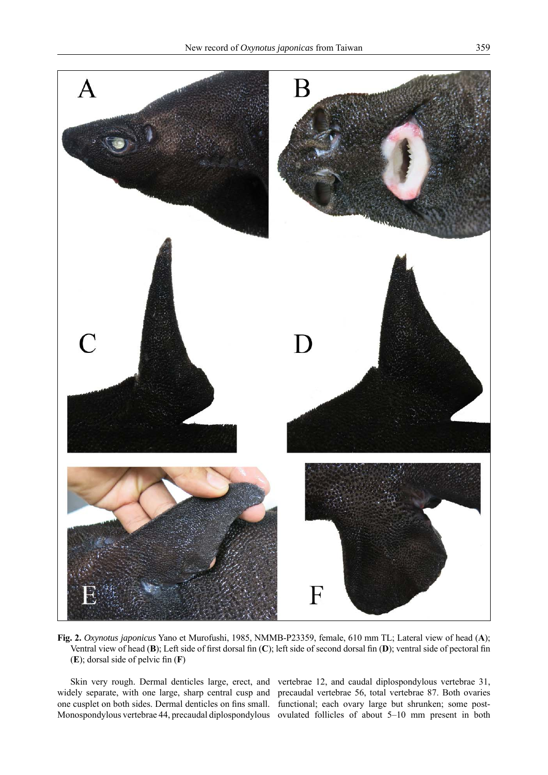



**Fig. 2.** *Oxynotus japonicus* Yano et Murofushi, 1985, NMMB-P23359, female, 610 mm TL; Lateral view of head (**A**); Ventral view of head (B); Left side of first dorsal fin (C); left side of second dorsal fin (D); ventral side of pectoral fin  $(E)$ ; dorsal side of pelvic fin  $(F)$ 

widely separate, with one large, sharp central cusp and one cusplet on both sides. Dermal denticles on fins small. functional; each ovary large but shrunken; some post-Monospondylous vertebrae 44, precaudal diplospondylous ovulated follicles of about 5–10 mm present in both

Skin very rough. Dermal denticles large, erect, and vertebrae 12, and caudal diplospondylous vertebrae 31, precaudal vertebrae 56, total vertebrae 87. Both ovaries